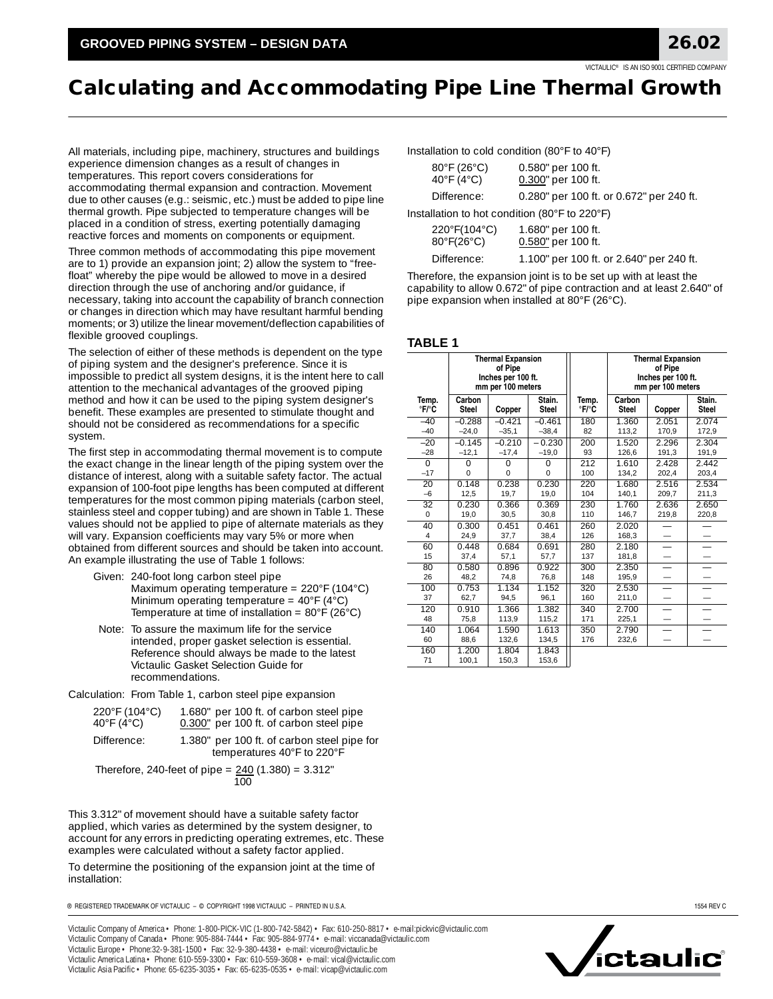# **Calculating and Accommodating Pipe Line Thermal Growth**

All materials, including pipe, machinery, structures and buildings experience dimension changes as a result of changes in temperatures. This report covers considerations for accommodating thermal expansion and contraction. Movement due to other causes (e.g.: seismic, etc.) must be added to pipe line thermal growth. Pipe subjected to temperature changes will be placed in a condition of stress, exerting potentially damaging reactive forces and moments on components or equipment.

Three common methods of accommodating this pipe movement are to 1) provide an expansion joint; 2) allow the system to "freefloat" whereby the pipe would be allowed to move in a desired direction through the use of anchoring and/or guidance, if necessary, taking into account the capability of branch connection or changes in direction which may have resultant harmful bending moments; or 3) utilize the linear movement/deflection capabilities of flexible grooved couplings.

The selection of either of these methods is dependent on the type of piping system and the designer's preference. Since it is impossible to predict all system designs, it is the intent here to call attention to the mechanical advantages of the grooved piping method and how it can be used to the piping system designer's benefit. These examples are presented to stimulate thought and should not be considered as recommendations for a specific system.

The first step in accommodating thermal movement is to compute the exact change in the linear length of the piping system over the distance of interest, along with a suitable safety factor. The actual expansion of 100-foot pipe lengths has been computed at different temperatures for the most common piping materials (carbon steel, stainless steel and copper tubing) and are shown in Table 1. These values should not be applied to pipe of alternate materials as they will vary. Expansion coefficients may vary 5% or more when obtained from different sources and should be taken into account. An example illustrating the use of Table 1 follows:

- Given: 240-foot long carbon steel pipe Maximum operating temperature = 220°F (104°C) Minimum operating temperature =  $40^{\circ}F(4^{\circ}C)$ Temperature at time of installation =  $80^{\circ}$ F (26 $^{\circ}$ C)
- Note: To assure the maximum life for the service intended, proper gasket selection is essential. Reference should always be made to the latest Victaulic Gasket Selection Guide for recommendations.
- Calculation: From Table 1, carbon steel pipe expansion

| 220°F (104°C) | 1.680" per 100 ft. of carbon steel pipe                                   |
|---------------|---------------------------------------------------------------------------|
| 40°F (4°C)    | 0.300" per 100 ft. of carbon steel pipe                                   |
| Difference:   | 1.380" per 100 ft. of carbon steel pipe for<br>temperatures 40°F to 220°F |

Therefore, 240-feet of pipe =  $240(1.380)$  = 3.312" 100

This 3.312" of movement should have a suitable safety factor applied, which varies as determined by the system designer, to account for any errors in predicting operating extremes, etc. These examples were calculated without a safety factor applied.

To determine the positioning of the expansion joint at the time of installation:

® REGISTERED TRADEMARK OF VICTAULIC – © COPYRIGHT 1998 VICTAULIC – PRINTED IN U.S.A. 1554 REV C

Victaulic Company of America • Phone: 1-800-PICK-VIC (1-800-742-5842) • Fax: 610-250-8817 • e-mail:pickvic@victaulic.com Victaulic Company of Canada • Phone: 905-884-7444 • Fax: 905-884-9774 • e-mail: viccanada@victaulic.com Victaulic Europe • Phone:32-9-381-1500 • Fax: 32-9-380-4438 • e-mail: viceuro@victaulic.be Victaulic America Latina • Phone: 610-559-3300 • Fax: 610-559-3608 • e-mail: vical@victaulic.com Victaulic Asia Pacific • Phone: 65-6235-3035 • Fax: 65-6235-0535 • e-mail: vicap@victaulic.com

Installation to cold condition (80°F to 40°F)

| $80^{\circ}$ F (26 $^{\circ}$ C)<br>40 $\degree$ F (4 $\degree$ C) | 0.580" per 100 ft.<br>0.300" per 100 ft. |  |  |  |  |
|--------------------------------------------------------------------|------------------------------------------|--|--|--|--|
| Difference:                                                        | 0.280" per 100 ft. or 0.672" per 240 ft. |  |  |  |  |
| $\sim$ 1.1.1.2. The Letters and PP in $(0.0007, 1.00007)$          |                                          |  |  |  |  |

Installation to hot condition (80°F to 220°F)

| 220°F(104°C)<br>80°F(26°C) | 1.680" per 100 ft.<br>0.580" per 100 ft. |  |
|----------------------------|------------------------------------------|--|
| $- \cdot -$                | $\sim$ $\sim$ $\sim$<br>.                |  |

Difference: 1.100" per 100 ft. or 2.640" per 240 ft.

Therefore, the expansion joint is to be set up with at least the capability to allow 0.672" of pipe contraction and at least 2.640" of pipe expansion when installed at 80°F (26°C).

#### **TABLE 1**

|                             | <b>Thermal Expansion</b><br>of Pipe<br>Inches per 100 ft.<br>mm per 100 meters |                      |                         |                | <b>Thermal Expansion</b><br>of Pipe<br>Inches per 100 ft.<br>mm per 100 meters |                          |                          |
|-----------------------------|--------------------------------------------------------------------------------|----------------------|-------------------------|----------------|--------------------------------------------------------------------------------|--------------------------|--------------------------|
| Temp.<br>°F/°C              | Carbon<br>Steel                                                                | Copper               | Stain.<br><b>Steel</b>  | Temp.<br>°F/°C | Carbon<br><b>Steel</b>                                                         | Copper                   | Stain.<br><b>Steel</b>   |
| $-40$<br>$-40$              | $-0.288$<br>$-24.0$                                                            | $-0.421$<br>$-35,1$  | $-0.461$<br>$-38.4$     | 180<br>82      | 1.360<br>113,2                                                                 | 2.051<br>170.9           | 2.074<br>172,9           |
| $-20$<br>$-28$              | $-0.145$<br>$-12,1$                                                            | $-0.210$<br>$-17,4$  | $-0.230$<br>$-19,0$     | 200<br>93      | 1.520<br>126,6                                                                 | 2.296<br>191,3           | 2.304<br>191,9           |
| $\overline{0}$<br>$-17$     | $\Omega$<br>$\Omega$                                                           | $\Omega$<br>$\Omega$ | $\mathbf 0$<br>$\Omega$ | 212<br>100     | 1.610<br>134,2                                                                 | 2.428<br>202,4           | 2.442<br>203,4           |
| 20<br>$-6$                  | 0.148<br>12,5                                                                  | 0.238<br>19,7        | 0.230<br>19,0           | 220<br>104     | 1.680<br>140,1                                                                 | 2.516<br>209,7           | 2.534<br>211,3           |
| $\overline{32}$<br>$\Omega$ | 0.230<br>19,0                                                                  | 0.366<br>30,5        | 0.369<br>30,8           | 230<br>110     | 1.760<br>146,7                                                                 | 2.636<br>219.8           | 2.650<br>220.8           |
| 40<br>4                     | 0.300<br>24,9                                                                  | 0.451<br>37,7        | 0.461<br>38,4           | 260<br>126     | 2.020<br>168,3                                                                 |                          | $\overline{\phantom{0}}$ |
| 60<br>15                    | 0.448<br>37,4                                                                  | 0.684<br>57,1        | 0.691<br>57,7           | 280<br>137     | 2.180<br>181,8                                                                 | $\overline{\phantom{0}}$ | -                        |
| 80<br>26                    | 0.580<br>48,2                                                                  | 0.896<br>74,8        | 0.922<br>76,8           | 300<br>148     | 2.350<br>195,9                                                                 |                          |                          |
| 100<br>37                   | 0.753<br>62,7                                                                  | 1.134<br>94,5        | 1.152<br>96,1           | 320<br>160     | 2.530<br>211,0                                                                 | -                        | -                        |
| 120<br>48                   | 0.910<br>75,8                                                                  | 1.366<br>113,9       | 1.382<br>115,2          | 340<br>171     | 2.700<br>225,1                                                                 | $\overline{\phantom{0}}$ | $\overline{\phantom{0}}$ |
| 140<br>60                   | 1.064<br>88,6                                                                  | 1.590<br>132,6       | 1.613<br>134,5          | 350<br>176     | 2.790<br>232,6                                                                 |                          |                          |
| 160<br>71                   | 1.200<br>100,1                                                                 | 1.804<br>150,3       | 1.843<br>153,6          |                |                                                                                |                          |                          |

,<br>ictau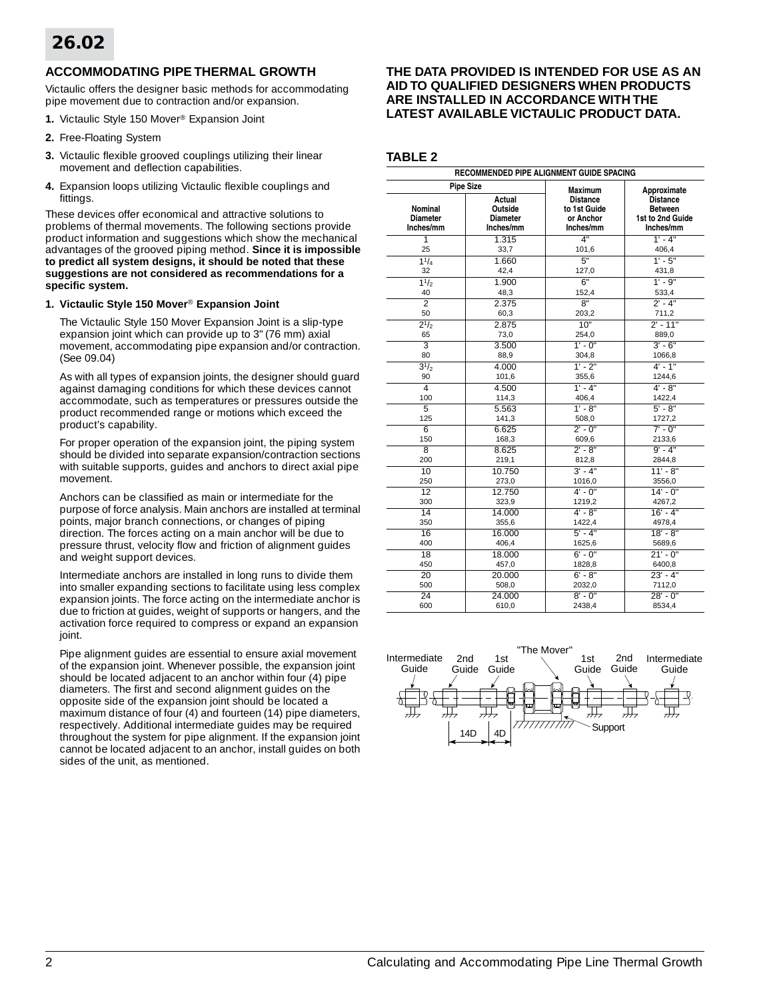# **ACCOMMODATING PIPE THERMAL GROWTH**

Victaulic offers the designer basic methods for accommodating pipe movement due to contraction and/or expansion.

- **1.** Victaulic Style 150 Mover® Expansion Joint
- **2.** Free-Floating System
- **3.** Victaulic flexible grooved couplings utilizing their linear movement and deflection capabilities.
- **4.** Expansion loops utilizing Victaulic flexible couplings and fittings.

These devices offer economical and attractive solutions to problems of thermal movements. The following sections provide product information and suggestions which show the mechanical advantages of the grooved piping method. **Since it is impossible to predict all system designs, it should be noted that these suggestions are not considered as recommendations for a specific system.**

### **1. Victaulic Style 150 Mover**® **Expansion Joint**

The Victaulic Style 150 Mover Expansion Joint is a slip-type expansion joint which can provide up to 3" (76 mm) axial movement, accommodating pipe expansion and/or contraction. (See 09.04)

As with all types of expansion joints, the designer should guard against damaging conditions for which these devices cannot accommodate, such as temperatures or pressures outside the product recommended range or motions which exceed the product's capability.

For proper operation of the expansion joint, the piping system should be divided into separate expansion/contraction sections with suitable supports, guides and anchors to direct axial pipe movement.

Anchors can be classified as main or intermediate for the purpose of force analysis. Main anchors are installed at terminal points, major branch connections, or changes of piping direction. The forces acting on a main anchor will be due to pressure thrust, velocity flow and friction of alignment guides and weight support devices.

Intermediate anchors are installed in long runs to divide them into smaller expanding sections to facilitate using less complex expansion joints. The force acting on the intermediate anchor is due to friction at guides, weight of supports or hangers, and the activation force required to compress or expand an expansion joint.

Pipe alignment guides are essential to ensure axial movement of the expansion joint. Whenever possible, the expansion joint should be located adjacent to an anchor within four (4) pipe diameters. The first and second alignment guides on the opposite side of the expansion joint should be located a maximum distance of four (4) and fourteen (14) pipe diameters, respectively. Additional intermediate guides may be required throughout the system for pipe alignment. If the expansion joint cannot be located adjacent to an anchor, install guides on both sides of the unit, as mentioned.

## **THE DATA PROVIDED IS INTENDED FOR USE AS AN AID TO QUALIFIED DESIGNERS WHEN PRODUCTS ARE INSTALLED IN ACCORDANCE WITH THE LATEST AVAILABLE VICTAULIC PRODUCT DATA.**

# **TABLE 2**

| RECOMMENDED PIPE ALIGNMENT GUIDE SPACING |                                                   |                                                           |                                                                    |  |  |  |
|------------------------------------------|---------------------------------------------------|-----------------------------------------------------------|--------------------------------------------------------------------|--|--|--|
|                                          | <b>Pipe Size</b>                                  | <b>Maximum</b>                                            | Approximate                                                        |  |  |  |
| Nominal<br><b>Diameter</b><br>Inches/mm  | Actual<br>Outside<br><b>Diameter</b><br>Inches/mm | <b>Distance</b><br>to 1st Guide<br>or Anchor<br>Inches/mm | <b>Distance</b><br><b>Between</b><br>1st to 2nd Guide<br>Inches/mm |  |  |  |
| 1                                        | 1.315                                             | 4"                                                        | $1' - 4"$                                                          |  |  |  |
| 25                                       | 33,7                                              | 101.6                                                     | 406,4                                                              |  |  |  |
| $1^{1}/_{4}$                             | 1.660                                             | 5"                                                        | $1' - 5''$                                                         |  |  |  |
| 32                                       | 42,4                                              | 127,0                                                     | 431,8                                                              |  |  |  |
| 11/2                                     | 1.900                                             | 6"                                                        | $1' - 9''$                                                         |  |  |  |
| 40                                       | 48,3                                              | 152,4                                                     | 533,4                                                              |  |  |  |
| $\overline{\mathcal{I}}$                 | 2.375                                             | 8"                                                        | $2' - 4"$                                                          |  |  |  |
| 50                                       | 60,3                                              | 203,2                                                     | 711,2                                                              |  |  |  |
| $2^{1/2}$                                | 2.875                                             | 10"                                                       | $2' - 11"$                                                         |  |  |  |
| 65                                       | 73,0                                              | 254,0                                                     | 889,0                                                              |  |  |  |
| $\overline{3}$                           | 3.500                                             | $1' - 0''$                                                | $3' - 6"$                                                          |  |  |  |
| 80                                       | 88,9                                              | 304,8                                                     | 1066,8                                                             |  |  |  |
| $3^{1/2}$                                | 4.000                                             | $1' - 2''$                                                | $4' - 1''$                                                         |  |  |  |
| 90                                       | 101,6                                             | 355,6                                                     | 1244,6                                                             |  |  |  |
| $\overline{4}$                           | 4.500                                             | $1' - 4"$                                                 | $4' - 8''$                                                         |  |  |  |
| 100                                      | 114,3                                             | 406,4                                                     | 1422,4                                                             |  |  |  |
| 5<br>125                                 | 5.563<br>141,3                                    | $1' - 8''$<br>508,0                                       | $5' - 8''$<br>1727,2                                               |  |  |  |
| 6                                        | 6.625                                             | $2' - 0''$                                                | $7' - 0''$                                                         |  |  |  |
| 150                                      | 168,3                                             | 609,6                                                     | 2133,6                                                             |  |  |  |
| $\overline{8}$                           | 8.625                                             | $2' - 8''$                                                | $9' - 4''$                                                         |  |  |  |
| 200                                      | 219,1                                             | 812,8                                                     | 2844,8                                                             |  |  |  |
| 10                                       | 10.750                                            | $3' - 4"$                                                 | $11' - 8''$                                                        |  |  |  |
| 250                                      | 273,0                                             | 1016,0                                                    | 3556,0                                                             |  |  |  |
| 12                                       | 12.750                                            | $4' - 0''$                                                | $14' - 0''$                                                        |  |  |  |
| 300                                      | 323,9                                             | 1219,2                                                    | 4267,2                                                             |  |  |  |
| 14                                       | 14.000                                            | $4' - 8''$                                                | $16' - 4"$                                                         |  |  |  |
| 350                                      | 355,6                                             | 1422,4                                                    | 4978,4                                                             |  |  |  |
| 16                                       | 16.000                                            | $5' - 4"$                                                 | $18' - 8''$                                                        |  |  |  |
| 400                                      | 406,4                                             | 1625,6                                                    | 5689,6                                                             |  |  |  |
| 18                                       | 18.000                                            | $6' - 0''$                                                | $21' - 0''$                                                        |  |  |  |
| 450                                      | 457,0                                             | 1828,8                                                    | 6400,8                                                             |  |  |  |
| 20                                       | 20.000                                            | $6' - 8"$                                                 | $23 - 4"$                                                          |  |  |  |
| 500                                      | 508,0                                             | 2032,0                                                    | 7112,0                                                             |  |  |  |
| 24<br>600                                | 24.000<br>610,0                                   | $8' - 0''$<br>2438,4                                      | $28' - 0''$<br>8534,4                                              |  |  |  |

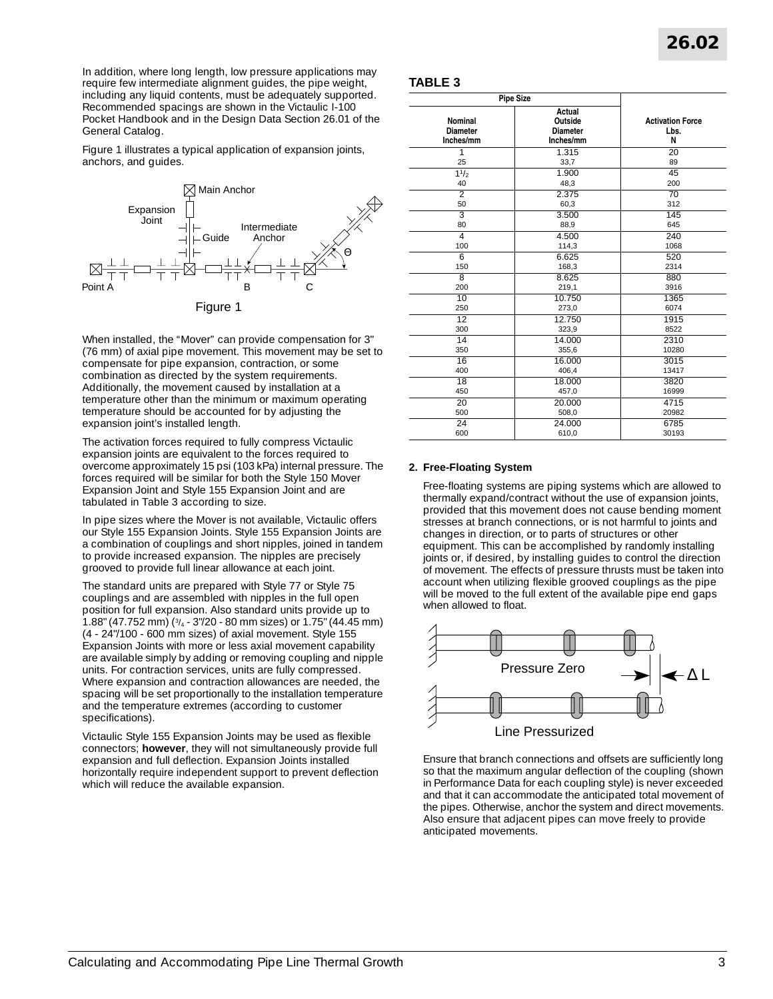In addition, where long length, low pressure applications may require few intermediate alignment guides, the pipe weight, including any liquid contents, must be adequately supported. Recommended spacings are shown in the Victaulic I-100 Pocket Handbook and in the Design Data Section 26.01 of the General Catalog.

Figure 1 illustrates a typical application of expansion joints, anchors, and guides.



When installed, the "Mover" can provide compensation for 3" (76 mm) of axial pipe movement. This movement may be set to compensate for pipe expansion, contraction, or some combination as directed by the system requirements. Additionally, the movement caused by installation at a temperature other than the minimum or maximum operating temperature should be accounted for by adjusting the expansion joint's installed length.

The activation forces required to fully compress Victaulic expansion joints are equivalent to the forces required to overcome approximately 15 psi (103 kPa) internal pressure. The forces required will be similar for both the Style 150 Mover Expansion Joint and Style 155 Expansion Joint and are tabulated in Table 3 according to size.

In pipe sizes where the Mover is not available, Victaulic offers our Style 155 Expansion Joints. Style 155 Expansion Joints are a combination of couplings and short nipples, joined in tandem to provide increased expansion. The nipples are precisely grooved to provide full linear allowance at each joint.

The standard units are prepared with Style 77 or Style 75 couplings and are assembled with nipples in the full open position for full expansion. Also standard units provide up to 1.88" (47.752 mm) (3/4 - 3"/20 - 80 mm sizes) or 1.75" (44.45 mm) (4 - 24"/100 - 600 mm sizes) of axial movement. Style 155 Expansion Joints with more or less axial movement capability are available simply by adding or removing coupling and nipple units. For contraction services, units are fully compressed. Where expansion and contraction allowances are needed, the spacing will be set proportionally to the installation temperature and the temperature extremes (according to customer specifications).

Victaulic Style 155 Expansion Joints may be used as flexible connectors; **however**, they will not simultaneously provide full expansion and full deflection. Expansion Joints installed horizontally require independent support to prevent deflection which will reduce the available expansion.

### **TABLE 3**

| <b>Pipe Size</b>                        |                                                   |                                      |  |
|-----------------------------------------|---------------------------------------------------|--------------------------------------|--|
| Nominal<br><b>Diameter</b><br>Inches/mm | Actual<br>Outside<br><b>Diameter</b><br>Inches/mm | <b>Activation Force</b><br>Lbs.<br>N |  |
| 1                                       | 1.315                                             | 20                                   |  |
| 25                                      | 33,7                                              | 89                                   |  |
| $\frac{11}{2}$                          | 1.900                                             | 45                                   |  |
| 40                                      | 48,3                                              | 200                                  |  |
| $\overline{2}$                          | 2.375                                             | 70                                   |  |
| 50                                      | 60,3                                              | 312                                  |  |
| $\overline{3}$                          | 3.500                                             | 145                                  |  |
| 80                                      | 88,9                                              | 645                                  |  |
| 4                                       | 4.500                                             | 240                                  |  |
| 100                                     | 114,3                                             | 1068                                 |  |
| $\overline{6}$                          | 6.625                                             | 520                                  |  |
| 150                                     | 168,3                                             | 2314                                 |  |
| 8                                       | 8.625                                             | 880                                  |  |
| 200                                     | 219,1                                             | 3916                                 |  |
| 10                                      | 10.750                                            | 1365                                 |  |
| 250                                     | 273,0                                             | 6074                                 |  |
| 12                                      | 12.750                                            | 1915                                 |  |
| 300                                     | 323,9                                             | 8522                                 |  |
| 14                                      | 14.000                                            | 2310                                 |  |
| 350                                     | 355,6                                             | 10280                                |  |
| 16                                      | 16.000                                            | 3015                                 |  |
| 400                                     | 406,4                                             | 13417                                |  |
| 18                                      | 18.000                                            | 3820                                 |  |
| 450                                     | 457,0                                             | 16999                                |  |
| 20                                      | 20.000                                            | 4715                                 |  |
| 500                                     | 508,0                                             | 20982                                |  |
| 24                                      | 24.000                                            | 6785                                 |  |
| 600                                     | 610,0                                             | 30193                                |  |

## **2. Free-Floating System**

Free-floating systems are piping systems which are allowed to thermally expand/contract without the use of expansion joints, provided that this movement does not cause bending moment stresses at branch connections, or is not harmful to joints and changes in direction, or to parts of structures or other equipment. This can be accomplished by randomly installing joints or, if desired, by installing guides to control the direction of movement. The effects of pressure thrusts must be taken into account when utilizing flexible grooved couplings as the pipe will be moved to the full extent of the available pipe end gaps when allowed to float.



Ensure that branch connections and offsets are sufficiently long so that the maximum angular deflection of the coupling (shown in Performance Data for each coupling style) is never exceeded and that it can accommodate the anticipated total movement of the pipes. Otherwise, anchor the system and direct movements. Also ensure that adjacent pipes can move freely to provide anticipated movements.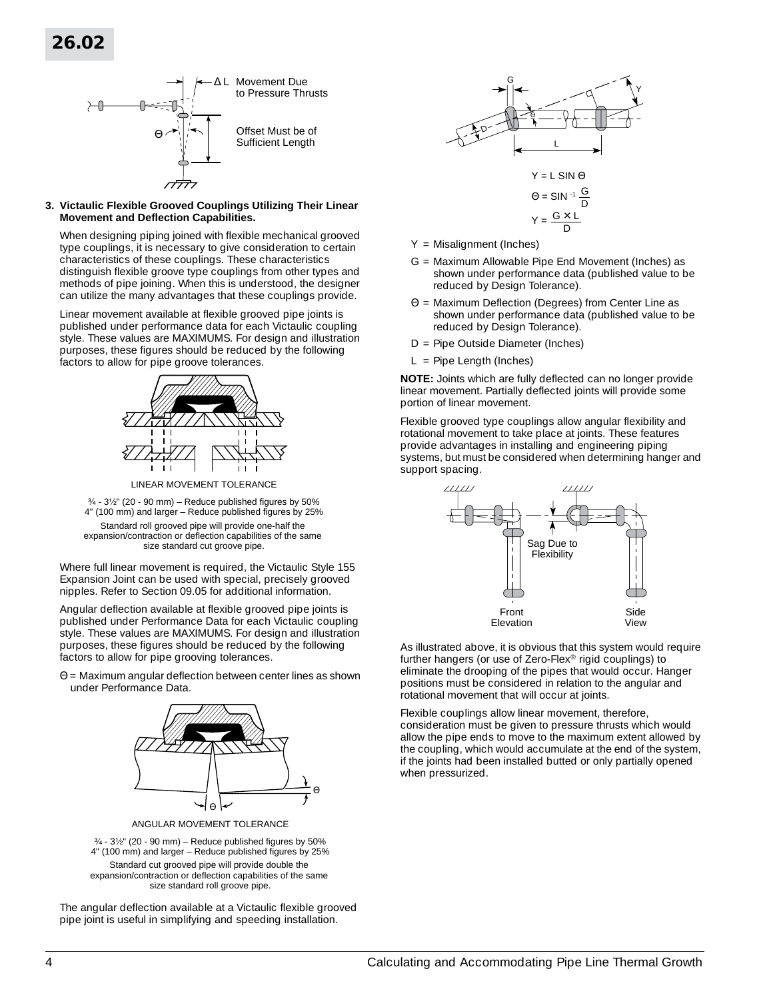# **26.02**



#### **3. Victaulic Flexible Grooved Couplings Utilizing Their Linear Movement and Deflection Capabilities.**

When designing piping joined with flexible mechanical grooved type couplings, it is necessary to give consideration to certain characteristics of these couplings. These characteristics distinguish flexible groove type couplings from other types and methods of pipe joining. When this is understood, the designer can utilize the many advantages that these couplings provide.

Linear movement available at flexible grooved pipe joints is published under performance data for each Victaulic coupling style. These values are MAXIMUMS. For design and illustration purposes, these figures should be reduced by the following factors to allow for pipe groove tolerances.



LINEAR MOVEMENT TOLERANCE

 $3/4$  -  $3/2$ " (20 - 90 mm) – Reduce published figures by 50% 4" (100 mm) and larger – Reduce published figures by 25% Standard roll grooved pipe will provide one-half the expansion/contraction or deflection capabilities of the same size standard cut groove pipe.

Where full linear movement is required, the Victaulic Style 155 Expansion Joint can be used with special, precisely grooved nipples. Refer to Section 09.05 for additional information.

Angular deflection available at flexible grooved pipe joints is published under Performance Data for each Victaulic coupling style. These values are MAXIMUMS. For design and illustration purposes, these figures should be reduced by the following factors to allow for pipe grooving tolerances.

Θ = Maximum angular deflection between center lines as shown under Performance Data.



ANGULAR MOVEMENT TOLERANCE

 $3/4$  -  $3/2$ " (20 - 90 mm) – Reduce published figures by 50% 4" (100 mm) and larger – Reduce published figures by 25% Standard cut grooved pipe will provide double the expansion/contraction or deflection capabilities of the same size standard roll groove pipe.

The angular deflection available at a Victaulic flexible grooved pipe joint is useful in simplifying and speeding installation.



- Y = Misalignment (Inches)
- G = Maximum Allowable Pipe End Movement (Inches) as shown under performance data (published value to be reduced by Design Tolerance).
- Θ = Maximum Deflection (Degrees) from Center Line as shown under performance data (published value to be reduced by Design Tolerance).
- D = Pipe Outside Diameter (Inches)
- $L =$  Pipe Length (Inches)

**NOTE:** Joints which are fully deflected can no longer provide linear movement. Partially deflected joints will provide some portion of linear movement.

Flexible grooved type couplings allow angular flexibility and rotational movement to take place at joints. These features provide advantages in installing and engineering piping systems, but must be considered when determining hanger and support spacing.



As illustrated above, it is obvious that this system would require further hangers (or use of Zero-Flex® rigid couplings) to eliminate the drooping of the pipes that would occur. Hanger positions must be considered in relation to the angular and rotational movement that will occur at joints.

Flexible couplings allow linear movement, therefore, consideration must be given to pressure thrusts which would allow the pipe ends to move to the maximum extent allowed by the coupling, which would accumulate at the end of the system, if the joints had been installed butted or only partially opened when pressurized.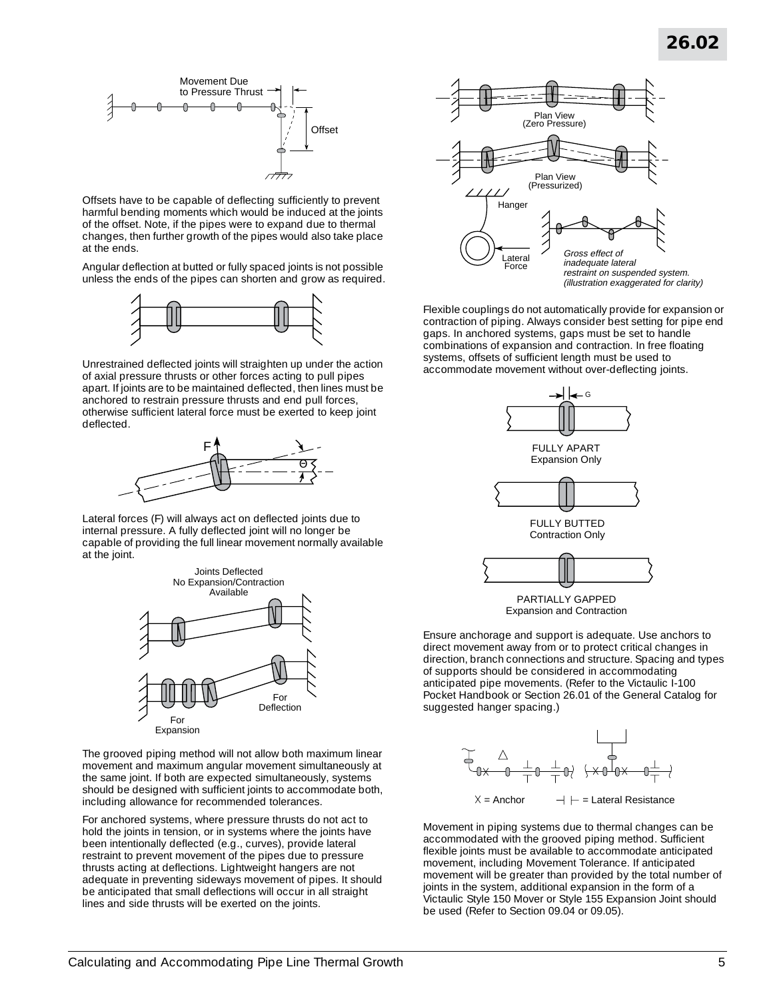

Offsets have to be capable of deflecting sufficiently to prevent harmful bending moments which would be induced at the joints of the offset. Note, if the pipes were to expand due to thermal changes, then further growth of the pipes would also take place at the ends.

Angular deflection at butted or fully spaced joints is not possible unless the ends of the pipes can shorten and grow as required.



Unrestrained deflected joints will straighten up under the action of axial pressure thrusts or other forces acting to pull pipes apart. If joints are to be maintained deflected, then lines must be anchored to restrain pressure thrusts and end pull forces, otherwise sufficient lateral force must be exerted to keep joint deflected.



Lateral forces (F) will always act on deflected joints due to internal pressure. A fully deflected joint will no longer be capable of providing the full linear movement normally available at the joint.



The grooved piping method will not allow both maximum linear movement and maximum angular movement simultaneously at the same joint. If both are expected simultaneously, systems should be designed with sufficient joints to accommodate both, including allowance for recommended tolerances.

For anchored systems, where pressure thrusts do not act to hold the joints in tension, or in systems where the joints have been intentionally deflected (e.g., curves), provide lateral restraint to prevent movement of the pipes due to pressure thrusts acting at deflections. Lightweight hangers are not adequate in preventing sideways movement of pipes. It should be anticipated that small deflections will occur in all straight lines and side thrusts will be exerted on the joints.



Flexible couplings do not automatically provide for expansion or contraction of piping. Always consider best setting for pipe end gaps. In anchored systems, gaps must be set to handle combinations of expansion and contraction. In free floating systems, offsets of sufficient length must be used to accommodate movement without over-deflecting joints.



PARTIALLY GAPPED Expansion and Contraction

Ensure anchorage and support is adequate. Use anchors to direct movement away from or to protect critical changes in direction, branch connections and structure. Spacing and types of supports should be considered in accommodating anticipated pipe movements. (Refer to the Victaulic I-100 Pocket Handbook or Section 26.01 of the General Catalog for suggested hanger spacing.)



Movement in piping systems due to thermal changes can be accommodated with the grooved piping method. Sufficient flexible joints must be available to accommodate anticipated movement, including Movement Tolerance. If anticipated movement will be greater than provided by the total number of joints in the system, additional expansion in the form of a Victaulic Style 150 Mover or Style 155 Expansion Joint should be used (Refer to Section 09.04 or 09.05).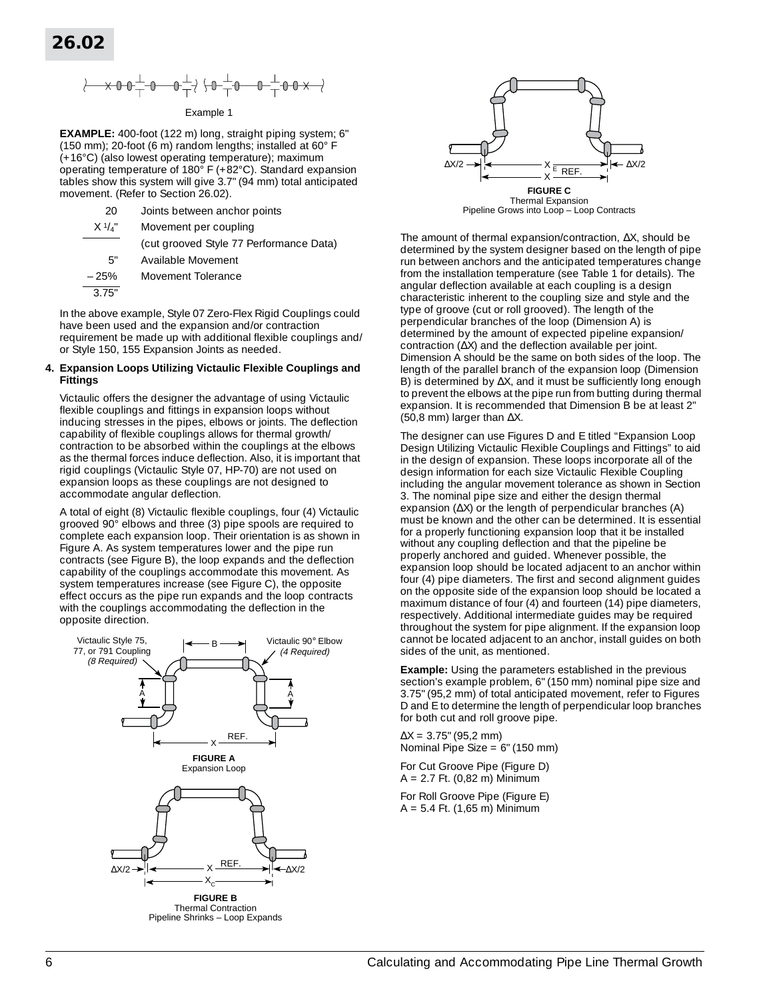$$
\text{for all } \alpha \in \mathbb{R}^+ \text{ and } \alpha \in \mathbb{R}^+ \text{ for all } \alpha \in \mathbb{R}^+ \text{ and } \alpha \in \mathbb{R}^+ \text{ for all } \alpha \in \mathbb{R}^+ \text{ for all } \alpha \in \mathbb{R}^+ \text{ for all } \alpha \in \mathbb{R}^+ \text{ for all } \alpha \in \mathbb{R}^+ \text{ for all } \alpha \in \mathbb{R}^+ \text{ for all } \alpha \in \mathbb{R}^+ \text{ for all } \alpha \in \mathbb{R}^+ \text{ for all } \alpha \in \mathbb{R}^+ \text{ for all } \alpha \in \mathbb{R}^+ \text{ for all } \alpha \in \mathbb{R}^+ \text{ for all } \alpha \in \mathbb{R}^+ \text{ for all } \alpha \in \mathbb{R}^+ \text{ for all } \alpha \in \mathbb{R}^+ \text{ for all } \alpha \in \mathbb{R}^+ \text{ for all } \alpha \in \mathbb{R}^+ \text{ for all } \alpha \in \mathbb{R}^+ \text{ for all } \alpha \in \mathbb{R}^+ \text{ for all } \alpha \in \mathbb{R}^+ \text{ for all } \alpha \in \mathbb{R}^+ \text{ for all } \alpha \in \mathbb{R}^+ \text{ for all } \alpha \in \mathbb{R}^+ \text{ for all } \alpha \in \mathbb{R}^+ \text{ for all } \alpha \in \mathbb{R}^+ \text{ for all } \alpha \in \mathbb{R}^+ \text{ for all } \alpha \in \mathbb{R}^+ \text{ for all } \alpha \in \mathbb{R}^+ \text{ for all } \alpha \in \mathbb{R}^+ \text{ for all } \alpha \in \mathbb{R}^+ \text{ for all } \alpha \in \mathbb{R}^+ \text{ for all } \alpha \in \mathbb{R}^+ \text{ for all } \alpha \in \mathbb{R}^+ \text{ for all } \alpha \in \mathbb{R}^+ \text{ for all } \alpha \in \mathbb{R}^+ \text{ for all } \alpha \in \mathbb{R}^+ \text{ for all } \alpha \in \mathbb{R}^+ \text{ for all } \alpha \in \mathbb{R}^+ \text{ for all } \alpha \in \mathbb{R}^+ \text{ for all } \alpha \in \mathbb{R}^+ \text{ for all }
$$

#### Example 1

**EXAMPLE:** 400-foot (122 m) long, straight piping system; 6" (150 mm); 20-foot (6 m) random lengths; installed at 60° F (+16°C) (also lowest operating temperature); maximum operating temperature of 180° F (+82°C). Standard expansion tables show this system will give 3.7" (94 mm) total anticipated movement. (Refer to Section 26.02).

| 20              | Joints between anchor points            |
|-----------------|-----------------------------------------|
| $X \frac{1}{4}$ | Movement per coupling                   |
|                 | (cut grooved Style 77 Performance Data) |
| 5"              | Available Movement                      |
| $-25%$          | Movement Tolerance                      |
| 3.75"           |                                         |
|                 |                                         |

In the above example, Style 07 Zero-Flex Rigid Couplings could have been used and the expansion and/or contraction requirement be made up with additional flexible couplings and/ or Style 150, 155 Expansion Joints as needed.

#### **4. Expansion Loops Utilizing Victaulic Flexible Couplings and Fittings**

Victaulic offers the designer the advantage of using Victaulic flexible couplings and fittings in expansion loops without inducing stresses in the pipes, elbows or joints. The deflection capability of flexible couplings allows for thermal growth/ contraction to be absorbed within the couplings at the elbows as the thermal forces induce deflection. Also, it is important that rigid couplings (Victaulic Style 07, HP-70) are not used on expansion loops as these couplings are not designed to accommodate angular deflection.

A total of eight (8) Victaulic flexible couplings, four (4) Victaulic grooved 90° elbows and three (3) pipe spools are required to complete each expansion loop. Their orientation is as shown in Figure A. As system temperatures lower and the pipe run contracts (see Figure B), the loop expands and the deflection capability of the couplings accommodate this movement. As system temperatures increase (see Figure C), the opposite effect occurs as the pipe run expands and the loop contracts with the couplings accommodating the deflection in the opposite direction.





The amount of thermal expansion/contraction, ∆X, should be determined by the system designer based on the length of pipe run between anchors and the anticipated temperatures change from the installation temperature (see Table 1 for details). The angular deflection available at each coupling is a design characteristic inherent to the coupling size and style and the type of groove (cut or roll grooved). The length of the perpendicular branches of the loop (Dimension A) is determined by the amount of expected pipeline expansion/ contraction (∆X) and the deflection available per joint. Dimension A should be the same on both sides of the loop. The length of the parallel branch of the expansion loop (Dimension B) is determined by ∆X, and it must be sufficiently long enough to prevent the elbows at the pipe run from butting during thermal expansion. It is recommended that Dimension B be at least 2" (50,8 mm) larger than ∆X.

The designer can use Figures D and E titled "Expansion Loop Design Utilizing Victaulic Flexible Couplings and Fittings" to aid in the design of expansion. These loops incorporate all of the design information for each size Victaulic Flexible Coupling including the angular movement tolerance as shown in Section 3. The nominal pipe size and either the design thermal expansion (∆X) or the length of perpendicular branches (A) must be known and the other can be determined. It is essential for a properly functioning expansion loop that it be installed without any coupling deflection and that the pipeline be properly anchored and guided. Whenever possible, the expansion loop should be located adjacent to an anchor within four (4) pipe diameters. The first and second alignment guides on the opposite side of the expansion loop should be located a maximum distance of four (4) and fourteen (14) pipe diameters, respectively. Additional intermediate guides may be required throughout the system for pipe alignment. If the expansion loop cannot be located adjacent to an anchor, install guides on both sides of the unit, as mentioned.

**Example:** Using the parameters established in the previous section's example problem, 6" (150 mm) nominal pipe size and 3.75" (95,2 mm) of total anticipated movement, refer to Figures D and E to determine the length of perpendicular loop branches for both cut and roll groove pipe.

 $\Delta X = 3.75$ " (95,2 mm) Nominal Pipe Size = 6" (150 mm)

For Cut Groove Pipe (Figure D) A = 2.7 Ft. (0,82 m) Minimum

For Roll Groove Pipe (Figure E)  $A = 5.4$  Ft. (1,65 m) Minimum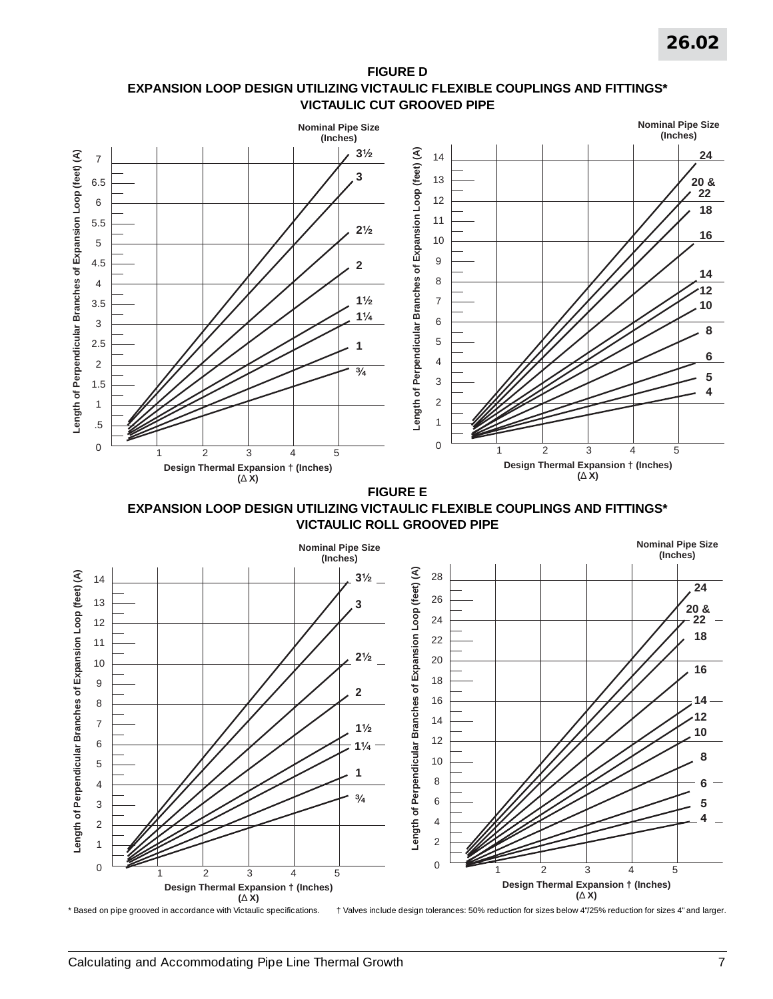# **FIGURE D EXPANSION LOOP DESIGN UTILIZING VICTAULIC FLEXIBLE COUPLINGS AND FITTINGS\* VICTAULIC CUT GROOVED PIPE**